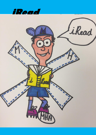

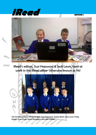



iRead's editors, Suzi Hopwood & Jack Lewis, hard at work in the iRead office- otherwise known as Y6!



The full iRead team:- Oliver Hughes, Suzi Hopwood, Sophie Beech, Jack Lewis, Finley Knight, Evan Pugh, Noah Darlington and Jake Holden.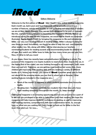

#### Editors Welcome

Welcome to the first edition of **iRead** - Meir Heath's new, online reading magazine. Each month we, Jack Lewis and Suzi Hopwood, will be proudly presenting a number of features, articles and puzzles, as well as finding out what kind of readers we are at Meir Heath Primary. Also, we are both delighted to be part of a project like this, and are looking forward to launching the magazine officially. Before we introduce you to the plan for this magazine, we would like to thank our awesome illustrator, Sophie Beech (Y6M) for bringing this magazine to life and introducing Miller, our very own reading mascot! A reading addict, Miller is always hunting for new things to read; fortunately, we should be able to help him out- and hopefully other readers too. We, along with Miller, will be interviewing our teachers, nominating students for reading awards and recommending books for children of all ages. But watch out, Miller loves to hide; see how many times you can spot him. Now, it's time to tell you more!

As you know, there has recently been extra enthusiasm for reading in school. The purpose of this magazine is to inspire students to read more often. Due to this we, in the higher end of the school, are now looking forward to our assessments (well, more than we used to!). Therefore, we are getting more positive test scores. Also, more children are improving their reading skills and are reading a variety of different books: sci-fi, fiction, non-fiction…you name it!! **iRead** is another great way to find out about all the amazing books you can find in school and at libraries. Other exciting features included in the magazine are...

- Book of the month- a segment in which students nominate their favourite books.
- Reading stars- Teachers nominate two students from their class who have been reading amazingly throughout the month. So, keep reading!!

Editing this magazine is an amazing opportunity and we are proud to be a part of it. We are also privileged to be able to help others with their reading. We hope this magazine will help improve students' confidence in reading, as well as improving their reading stamina, comprehension skills and concentration levels. So, enough from us, what are you waiting for? Don't forget to look out for Miller in the first issue. Over and out- for now….

í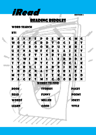**iRead EDITION <sup>1</sup>** Reading Riddles

WORD SEARCH

**KS1** 

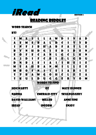# **iRead EDITION <sup>1</sup>** Reading Riddles

WORD SEARCH

**KS2** 

a sa

| 5 | K  | U | L | D | U | G | G<br><b>WORDS TO FIND</b> | E | R | Y | 0 | M         |
|---|----|---|---|---|---|---|---------------------------|---|---|---|---|-----------|
| 5 | T  | R | A | W | G | O | H                         | C | L | E | 7 | A         |
| M | R  | O | F | N | ı |   | E                         | J | A | B | I | Z         |
| M | E  | A | H | B | A | N | M                         | ı | L | L | E | E         |
| D | N  | B | J | E | ı | A |                           |   | H | E | I | E         |
| A | U. | D |   | F | C | R | L                         | E | L | G | R | U         |
| E | O  | F | E | C | A | N | L                         | G | C | L | K | N         |
| R | Y  | N | H | D | G | п | E                         | D | П | D | E | N         |
|   | N  | F | J | B | H | A | R                         | F | A | 5 | L | E         |
| A | E  | M | E | R | A |   | D                         | C |   | T | Y | R         |
| 5 | M  | Δ |   | L | L | A | W                         | D |   | V | A | $\bullet$ |
|   |    |   |   |   |   |   |                           |   |   |   |   |           |

Hogwarts Oz maze runner Narnia emerald city skulduggery DAVID WALLIAMS MILLER ANNE FINE IREAD INFORM ENJOY  $\overline{a}$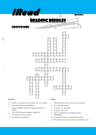



#### **Across**

I

- 2 Dorothy is whirled into this world by a hurricane.
- 5 The world with the Mokingjays.
- James Dashner wrote this exiting seiries of 7 **hooks**
- 8 The DEAD famous skeleton detective.
- 11 The author of Harry Potter.
- 13 Our fabulous illustraitor.

#### **Down**

- 1 Where the boy with a scar went to school.
- 3 Our reading mascot.
- 4 A world in a wardrobe.
- 6 A green city in OZ.
- 9 Born in Cardiff, but his parents were Norwegian
- 10 The writer known by writing War Horse.
- 12 The person who wrote 'Diary of a Whimpy Kid'.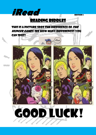

THIS IS A PICTURE SPOT THE DIFFERENCE OF THE hunger games. See how many differences you can spot!

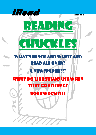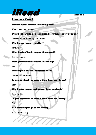

### **When did your interest in reading start?**

When I was two years old.

### **What books would you recommend for other readers your age?**

Diary of a wimpy kid by Jeff Kinney

### **Who is your favourite author?**

Jeff Kinney

## **What kinds of books do you like to read?**

Comedy books

## **Were you always interested in reading?**

Yes

### **What is your all-time favourite book?**

Diary of a wimpy kid

# **Do you buy books or borrow them from the library?**

Both

# **Who is your favourite character from any book?**

Greg Heffely

# **Do you buy books or borrow them from the library?**

Both

# **How often do you go to the library?**

Every Wednesday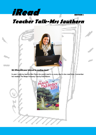# **iRead EDITION <sup>1</sup> Teacher Talk-Mrs Southern**



#### **Q1) When did your interest in reading start?**

In year 1 with my teacher Miss Clare; she would read to us every day in class read time. I remember her reading The Magic Faraway Tree by Enid Blyton.

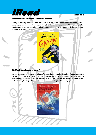# **iRead EDITION**

#### **Q2) What books would you recommend to read?**

Granny by Anthony Horowitz. I enjoyed it because of the humour and Granny's personality. You would expect her to be sweet and nice; but she is far from it. My favourite part is when she gets her own back on a train worker, who may have suggested that she was old and senile, by supergluing his hands to a train door!



#### **Q3) Who is your favourite author?**

Michael Morpurgo, who wrote my all-time favourite book, Kensuke's Kingdom. This was one of the first texts that I used to teach Year Six. Fortunately, we were able to go and watch it at a theatre in Birmingham. The children thoroughly enjoyed the story, the way that the characters' relationships built over time, finishing with an emotional ending that brought a tear to my eye.

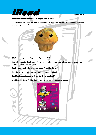

#### **Q4) What other kinds of books do you like to read?**

Cookery books because I love cooking. I don't look in them for full recipes- I use them as inspiration to create my own meals.

#### **Q5) How many books do you read per month?**

Normally three at a time because I've got two reading groups, read with my daughter and pick my own book to read on holiday.

#### **Q6) Do you buy books or borrow them from the library?**

I buy them on Amazon and then download them on my Kindle.

#### **Q7) Who is your favourite character from any book?**

Matilda from Roald Dahl's Matilda because she is smart and loves to learn.

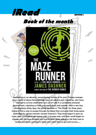

Awakening in an elevator, remembering nothing of his past, Thomas emerges into a world of about thirty teenage boys, all without past memories, who have learned to survive under their own set of rules in a completely enclosed environment, subsisting on their own agriculture and supplies. With a new boy arriving every thirty days, the group has been in "The Glade" for three years, trying to find a way to escape through the Maze that surrounds their living space (patrolled by cyborg monsters named 'Grievers'). They have begun to give up hope when a comatose girl arrives with a strange note, and their world begins to change with the boys dividing into two factions: those willing to risk their lives to escape and those wanting to hang onto what they've got and survive…….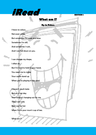

# **What am I?**

**By Jo Peters**

I have no colour, Not even white, But sometimes I'm wide and blue. Sometimes I'm still, And sometimes I rush, And I can fall down on you.

I can change my shape, I often do, But I'm hard to hold in your hand. You need me to make Your castle stand up When you're playing in the sand.

I haven't much taste But on a hot day Your tongue's hanging out for me. Then I am cold, But I can be hot When I'm in your mum's cup of tea.

What am I?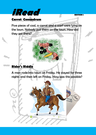

Five pieces of coal, a carrot and a scarf were lying on the lawn. Nobody put them on the lawn. How did they get there?

# **Rider's Riddle**

A man rode into town on Friday. He stayed for three nights and then left on Friday. How was this possible?

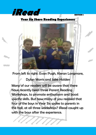

# **Year Six Share Reading Experiences**



From left to right: Evan Pugh, Kieran Longmore,

Dylan Morris and Jake Holden

Many of our readers will be aware that there have recently been three Parent Reading Workshops, to promote enthusiasm and boost specific skills. But how many of you realised that four of the boys in Year Six spoke to parents in the hall, at all three workshops? iRead caught up with the boys after the experience.